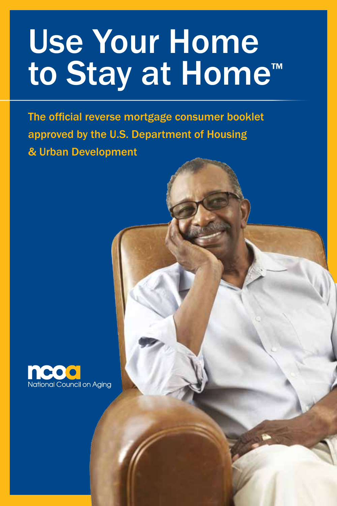The official reverse mortgage consumer booklet approved by the U.S. Department of Housing & Urban Development

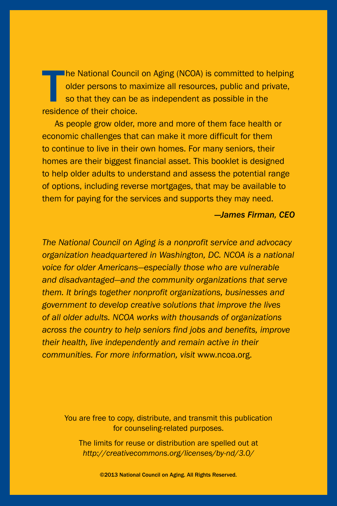The National Counci<br>
older persons to make<br>
so that they can be<br>
residence of their choice. he National Council on Aging (NCOA) is committed to helping older persons to maximize all resources, public and private, so that they can be as independent as possible in the

As people grow older, more and more of them face health or economic challenges that can make it more difficult for them to continue to live in their own homes. For many seniors, their homes are their biggest financial asset. This booklet is designed to help older adults to understand and assess the potential range of options, including reverse mortgages, that may be available to them for paying for the services and supports they may need.

#### *—James Firman, CEO*

*The National Council on Aging is a nonprofit service and advocacy organization headquartered in Washington, DC. NCOA is a national voice for older Americans—especially those who are vulnerable and disadvantaged—and the community organizations that serve them. It brings together nonprofit organizations, businesses and government to develop creative solutions that improve the lives of all older adults. NCOA works with thousands of organizations across the country to help seniors find jobs and benefits, improve their health, live independently and remain active in their communities. For more information, visit* www.ncoa.org.

You are free to copy, distribute, and transmit this publication for counseling-related purposes.

The limits for reuse or distribution are spelled out at *http://creativecommons.org/licenses/by-nd/3.0/*

©2013 National Council on Aging. All Rights Reserved.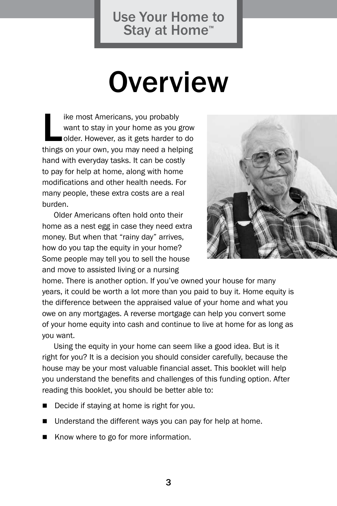## **Overview**

ike most Americans, you probably<br>want to stay in your home as you grow<br>older. However, as it gets harder to do<br>things on your own, you may need a helping ike most Americans, you probably want to stay in your home as you grow older. However, as it gets harder to do hand with everyday tasks. It can be costly to pay for help at home, along with home modifications and other health needs. For many people, these extra costs are a real burden.

Older Americans often hold onto their home as a nest egg in case they need extra money. But when that "rainy day" arrives, how do you tap the equity in your home? Some people may tell you to sell the house and move to assisted living or a nursing



home. There is another option. If you've owned your house for many years, it could be worth a lot more than you paid to buy it. Home equity is the difference between the appraised value of your home and what you owe on any mortgages. A reverse mortgage can help you convert some of your home equity into cash and continue to live at home for as long as you want.

Using the equity in your home can seem like a good idea. But is it right for you? It is a decision you should consider carefully, because the house may be your most valuable financial asset. This booklet will help you understand the benefits and challenges of this funding option. After reading this booklet, you should be better able to:

- Decide if staying at home is right for you.
- Understand the different ways you can pay for help at home.
- Know where to go for more information.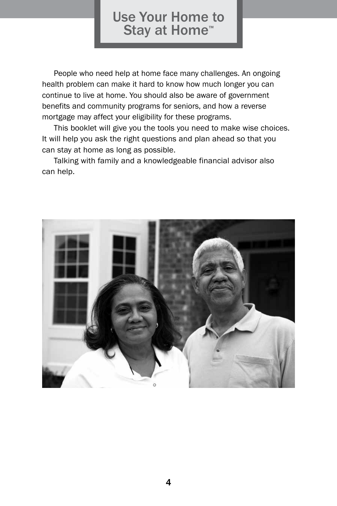People who need help at home face many challenges. An ongoing health problem can make it hard to know how much longer you can continue to live at home. You should also be aware of government benefits and community programs for seniors, and how a reverse mortgage may affect your eligibility for these programs.

This booklet will give you the tools you need to make wise choices. It will help you ask the right questions and plan ahead so that you can stay at home as long as possible.

Talking with family and a knowledgeable financial advisor also can help.

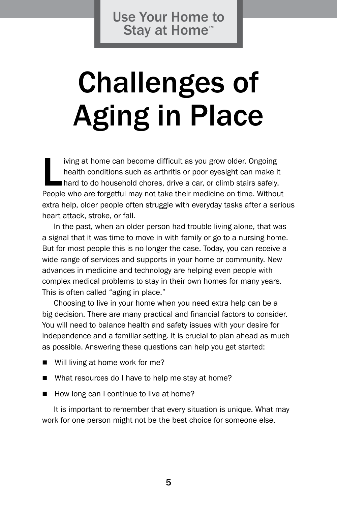## Challenges of Aging in Place

iving at home can become difficult as you grow older. Ongoing<br>health conditions such as arthritis or poor eyesight can make it<br>hard to do household chores, drive a car, or climb stairs safely.<br>People who are forgetful may iving at home can become difficult as you grow older. Ongoing health conditions such as arthritis or poor eyesight can make it hard to do household chores, drive a car, or climb stairs safely. extra help, older people often struggle with everyday tasks after a serious heart attack, stroke, or fall.

In the past, when an older person had trouble living alone, that was a signal that it was time to move in with family or go to a nursing home. But for most people this is no longer the case. Today, you can receive a wide range of services and supports in your home or community. New advances in medicine and technology are helping even people with complex medical problems to stay in their own homes for many years. This is often called "aging in place."

Choosing to live in your home when you need extra help can be a big decision. There are many practical and financial factors to consider. You will need to balance health and safety issues with your desire for independence and a familiar setting. It is crucial to plan ahead as much as possible. Answering these questions can help you get started:

- $\blacksquare$  Will living at home work for me?
- $\blacksquare$  What resources do I have to help me stay at home?
- How long can I continue to live at home?

It is important to remember that every situation is unique. What may work for one person might not be the best choice for someone else.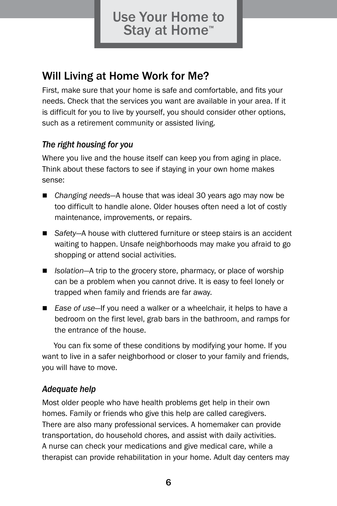### Will Living at Home Work for Me?

First, make sure that your home is safe and comfortable, and fits your needs. Check that the services you want are available in your area. If it is difficult for you to live by yourself, you should consider other options, such as a retirement community or assisted living.

#### *The right housing for you*

Where you live and the house itself can keep you from aging in place. Think about these factors to see if staying in your own home makes sense:

- Changing needs—A house that was ideal 30 years ago may now be too difficult to handle alone. Older houses often need a lot of costly maintenance, improvements, or repairs.
- Safety—A house with cluttered furniture or steep stairs is an accident waiting to happen. Unsafe neighborhoods may make you afraid to go shopping or attend social activities.
- *Isolation*—A trip to the grocery store, pharmacy, or place of worship can be a problem when you cannot drive. It is easy to feel lonely or trapped when family and friends are far away.
- *Ease of use*—If you need a walker or a wheelchair, it helps to have a bedroom on the first level, grab bars in the bathroom, and ramps for the entrance of the house.

You can fix some of these conditions by modifying your home. If you want to live in a safer neighborhood or closer to your family and friends, you will have to move.

#### *Adequate help*

Most older people who have health problems get help in their own homes. Family or friends who give this help are called caregivers. There are also many professional services. A homemaker can provide transportation, do household chores, and assist with daily activities. A nurse can check your medications and give medical care, while a therapist can provide rehabilitation in your home. Adult day centers may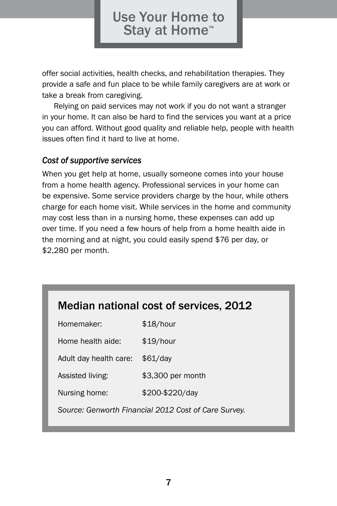offer social activities, health checks, and rehabilitation therapies. They provide a safe and fun place to be while family caregivers are at work or take a break from caregiving.

Relying on paid services may not work if you do not want a stranger in your home. It can also be hard to find the services you want at a price you can afford. Without good quality and reliable help, people with health issues often find it hard to live at home.

#### *Cost of supportive services*

When you get help at home, usually someone comes into your house from a home health agency. Professional services in your home can be expensive. Some service providers charge by the hour, while others charge for each home visit. While services in the home and community may cost less than in a nursing home, these expenses can add up over time. If you need a few hours of help from a home health aide in the morning and at night, you could easily spend \$76 per day, or \$2,280 per month.

#### Median national cost of services, 2012

| Homemaker:                                           | \$18/hour         |
|------------------------------------------------------|-------------------|
| Home health aide:                                    | \$19/hour         |
| Adult day health care:                               | $$61$ /day        |
| Assisted living:                                     | \$3,300 per month |
| Nursing home:                                        | \$200-\$220/day   |
| Source: Genworth Financial 2012 Cost of Care Survey. |                   |
|                                                      |                   |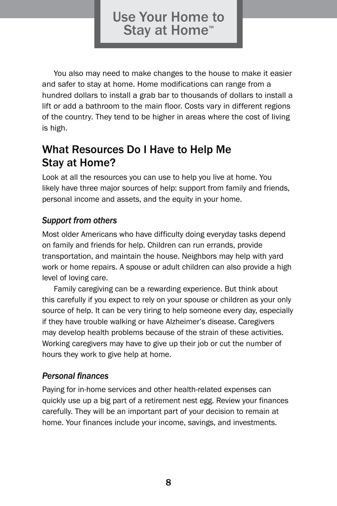You also may need to make changes to the house to make it easier and safer to stay at home. Home modifications can range from a hundred dollars to install a grab bar to thousands of dollars to install a lift or add a bathroom to the main floor. Costs vary in different regions of the country. They tend to be higher in areas where the cost of living is high.

#### What Resources Do I Have to Help Me Stay at Home?

Look at all the resources you can use to help you live at home. You likely have three major sources of help: support from family and friends, personal income and assets, and the equity in your home.

#### *Support from others*

Most older Americans who have difficulty doing everyday tasks depend on family and friends for help. Children can run errands, provide transportation, and maintain the house. Neighbors may help with yard work or home repairs. A spouse or adult children can also provide a high level of loving care.

Family caregiving can be a rewarding experience. But think about this carefully if you expect to rely on your spouse or children as your only source of help. It can be very tiring to help someone every day, especially if they have trouble walking or have Alzheimer's disease. Caregivers may develop health problems because of the strain of these activities. Working caregivers may have to give up their job or cut the number of hours they work to give help at home.

#### *Personal finances*

Paying for in-home services and other health-related expenses can quickly use up a big part of a retirement nest egg. Review your finances carefully. They will be an important part of your decision to remain at home. Your finances include your income, savings, and investments.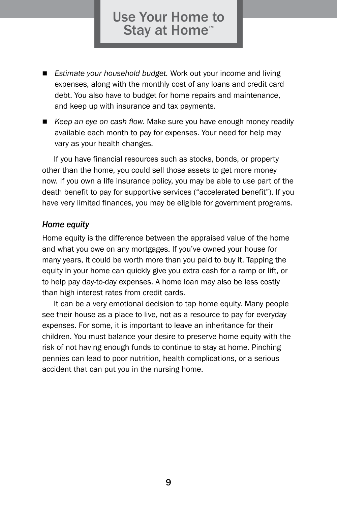- *Estimate your household budget.* Work out your income and living expenses, along with the monthly cost of any loans and credit card debt. You also have to budget for home repairs and maintenance, and keep up with insurance and tax payments.
- *Keep an eye on cash flow.* Make sure you have enough money readily available each month to pay for expenses. Your need for help may vary as your health changes.

If you have financial resources such as stocks, bonds, or property other than the home, you could sell those assets to get more money now. If you own a life insurance policy, you may be able to use part of the death benefit to pay for supportive services ("accelerated benefit"). If you have very limited finances, you may be eligible for government programs.

#### *Home equity*

Home equity is the difference between the appraised value of the home and what you owe on any mortgages. If you've owned your house for many years, it could be worth more than you paid to buy it. Tapping the equity in your home can quickly give you extra cash for a ramp or lift, or to help pay day-to-day expenses. A home loan may also be less costly than high interest rates from credit cards.

It can be a very emotional decision to tap home equity. Many people see their house as a place to live, not as a resource to pay for everyday expenses. For some, it is important to leave an inheritance for their children. You must balance your desire to preserve home equity with the risk of not having enough funds to continue to stay at home. Pinching pennies can lead to poor nutrition, health complications, or a serious accident that can put you in the nursing home.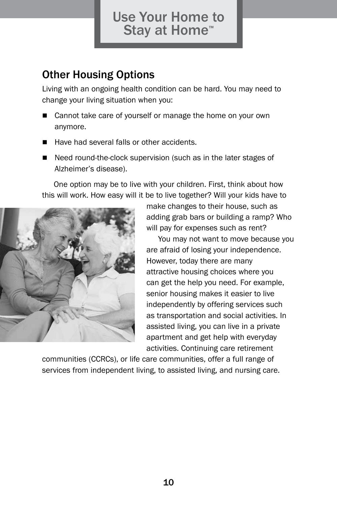#### Other Housing Options

Living with an ongoing health condition can be hard. You may need to change your living situation when you:

- Cannot take care of yourself or manage the home on your own anymore.
- **Have had several falls or other accidents.**
- Need round-the-clock supervision (such as in the later stages of Alzheimer's disease).

One option may be to live with your children. First, think about how this will work. How easy will it be to live together? Will your kids have to



make changes to their house, such as adding grab bars or building a ramp? Who will pay for expenses such as rent?

You may not want to move because you are afraid of losing your independence. However, today there are many attractive housing choices where you can get the help you need. For example, senior housing makes it easier to live independently by offering services such as transportation and social activities. In assisted living, you can live in a private apartment and get help with everyday activities. Continuing care retirement

communities (CCRCs), or life care communities, offer a full range of services from independent living, to assisted living, and nursing care.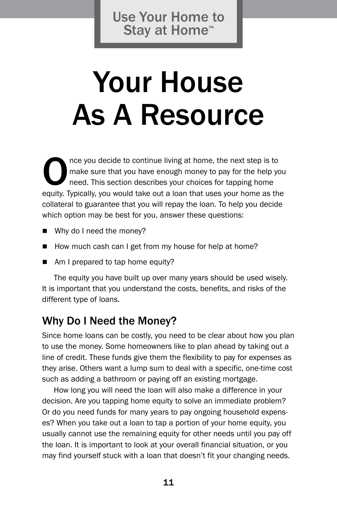## Your House As A Resource

The you decide to continue living at home, the next step is to make sure that you have enough money to pay for the help you need. This section describes your choices for tapping home equity. Typically, you would take out a make sure that you have enough money to pay for the help you need. This section describes your choices for tapping home equity. Typically, you would take out a loan that uses your home as the collateral to guarantee that you will repay the loan. To help you decide which option may be best for you, answer these questions:

- Why do I need the money?
- How much cash can I get from my house for help at home?
- $\blacksquare$  Am I prepared to tap home equity?

The equity you have built up over many years should be used wisely. It is important that you understand the costs, benefits, and risks of the different type of loans.

#### Why Do I Need the Money?

Since home loans can be costly, you need to be clear about how you plan to use the money. Some homeowners like to plan ahead by taking out a line of credit. These funds give them the flexibility to pay for expenses as they arise. Others want a lump sum to deal with a specific, one-time cost such as adding a bathroom or paying off an existing mortgage.

How long you will need the loan will also make a difference in your decision. Are you tapping home equity to solve an immediate problem? Or do you need funds for many years to pay ongoing household expenses? When you take out a loan to tap a portion of your home equity, you usually cannot use the remaining equity for other needs until you pay off the loan. It is important to look at your overall financial situation, or you may find yourself stuck with a loan that doesn't fit your changing needs.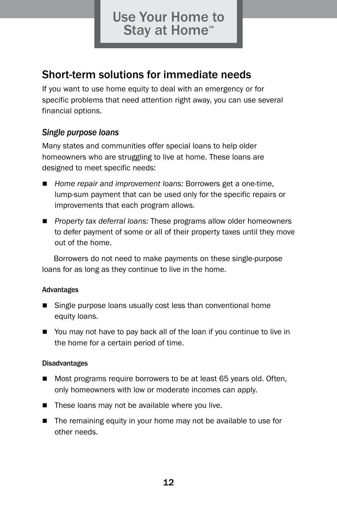#### Short-term solutions for immediate needs

If you want to use home equity to deal with an emergency or for specific problems that need attention right away, you can use several financial options.

#### *Single purpose loans*

Many states and communities offer special loans to help older homeowners who are struggling to live at home. These loans are designed to meet specific needs:

- *Home repair and improvement loans:* Borrowers get a one-time, lump-sum payment that can be used only for the specific repairs or improvements that each program allows.
- **Property tax deferral loans: These programs allow older homeowners** to defer payment of some or all of their property taxes until they move out of the home.

Borrowers do not need to make payments on these single-purpose loans for as long as they continue to live in the home.

#### Advantages

- $\blacksquare$  Single purpose loans usually cost less than conventional home equity loans.
- You may not have to pay back all of the loan if you continue to live in the home for a certain period of time.

#### Disadvantages

- Most programs require borrowers to be at least 65 years old. Often, only homeowners with low or moderate incomes can apply.
- $\blacksquare$  These loans may not be available where you live.
- $\blacksquare$  The remaining equity in your home may not be available to use for other needs.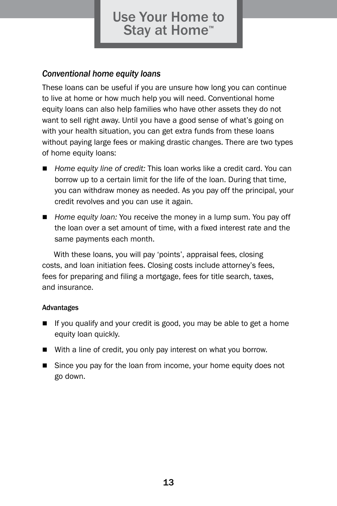#### *Conventional home equity loans*

These loans can be useful if you are unsure how long you can continue to live at home or how much help you will need. Conventional home equity loans can also help families who have other assets they do not want to sell right away. Until you have a good sense of what's going on with your health situation, you can get extra funds from these loans without paying large fees or making drastic changes. There are two types of home equity loans:

- Home equity line of credit: This loan works like a credit card. You can borrow up to a certain limit for the life of the loan. During that time, you can withdraw money as needed. As you pay off the principal, your credit revolves and you can use it again.
- **n** *Home equity loan:* You receive the money in a lump sum. You pay off the loan over a set amount of time, with a fixed interest rate and the same payments each month.

With these loans, you will pay 'points', appraisal fees, closing costs, and loan initiation fees. Closing costs include attorney's fees, fees for preparing and filing a mortgage, fees for title search, taxes, and insurance.

#### Advantages

- If you qualify and your credit is good, you may be able to get a home equity loan quickly.
- With a line of credit, you only pay interest on what you borrow.
- **Since you pay for the loan from income, your home equity does not** go down.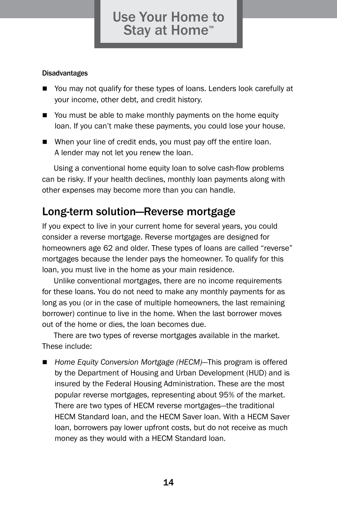#### Disadvantages

- You may not qualify for these types of loans. Lenders look carefully at your income, other debt, and credit history.
- $\blacksquare$  You must be able to make monthly payments on the home equity loan. If you can't make these payments, you could lose your house.
- $\blacksquare$  When your line of credit ends, you must pay off the entire loan. A lender may not let you renew the loan.

Using a conventional home equity loan to solve cash-flow problems can be risky. If your health declines, monthly loan payments along with other expenses may become more than you can handle.

#### Long-term solution—Reverse mortgage

If you expect to live in your current home for several years, you could consider a reverse mortgage. Reverse mortgages are designed for homeowners age 62 and older. These types of loans are called "reverse" mortgages because the lender pays the homeowner. To qualify for this loan, you must live in the home as your main residence.

Unlike conventional mortgages, there are no income requirements for these loans. You do not need to make any monthly payments for as long as you (or in the case of multiple homeowners, the last remaining borrower) continue to live in the home. When the last borrower moves out of the home or dies, the loan becomes due.

There are two types of reverse mortgages available in the market. These include:

Home Equity Conversion Mortgage (HECM)—This program is offered by the Department of Housing and Urban Development (HUD) and is insured by the Federal Housing Administration. These are the most popular reverse mortgages, representing about 95% of the market. There are two types of HECM reverse mortgages—the traditional HECM Standard loan, and the HECM Saver loan. With a HECM Saver loan, borrowers pay lower upfront costs, but do not receive as much money as they would with a HECM Standard loan.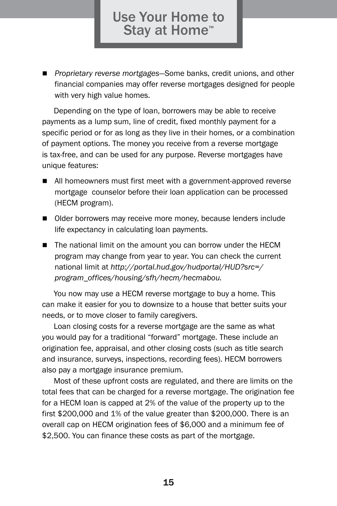■ *Proprietary reverse mortgages*—Some banks, credit unions, and other financial companies may offer reverse mortgages designed for people with very high value homes.

Depending on the type of loan, borrowers may be able to receive payments as a lump sum, line of credit, fixed monthly payment for a specific period or for as long as they live in their homes, or a combination of payment options. The money you receive from a reverse mortgage is tax-free, and can be used for any purpose. Reverse mortgages have unique features:

- $\blacksquare$  All homeowners must first meet with a government-approved reverse mortgage counselor before their loan application can be processed (HECM program).
- Older borrowers may receive more money, because lenders include life expectancy in calculating loan payments.
- $\blacksquare$  The national limit on the amount you can borrow under the HECM program may change from year to year. You can check the current national limit at *http://portal.hud.gov/hudportal/HUD?src=/ program\_offices/housing/sfh/hecm/hecmabou.*

You now may use a HECM reverse mortgage to buy a home. This can make it easier for you to downsize to a house that better suits your needs, or to move closer to family caregivers.

Loan closing costs for a reverse mortgage are the same as what you would pay for a traditional "forward" mortgage. These include an origination fee, appraisal, and other closing costs (such as title search and insurance, surveys, inspections, recording fees). HECM borrowers also pay a mortgage insurance premium.

Most of these upfront costs are regulated, and there are limits on the total fees that can be charged for a reverse mortgage. The origination fee for a HECM loan is capped at 2% of the value of the property up to the first \$200,000 and 1% of the value greater than \$200,000. There is an overall cap on HECM origination fees of \$6,000 and a minimum fee of \$2,500. You can finance these costs as part of the mortgage.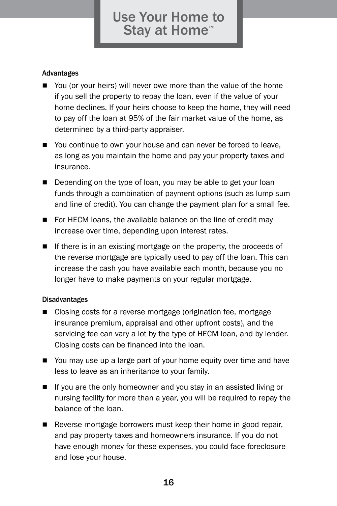#### Advantages

- $\blacksquare$  You (or your heirs) will never owe more than the value of the home if you sell the property to repay the loan, even if the value of your home declines. If your heirs choose to keep the home, they will need to pay off the loan at 95% of the fair market value of the home, as determined by a third-party appraiser.
- $\blacksquare$  You continue to own your house and can never be forced to leave, as long as you maintain the home and pay your property taxes and insurance.
- $\blacksquare$  Depending on the type of loan, you may be able to get your loan funds through a combination of payment options (such as lump sum and line of credit). You can change the payment plan for a small fee.
- $\blacksquare$  For HECM loans, the available balance on the line of credit may increase over time, depending upon interest rates.
- $\blacksquare$  If there is in an existing mortgage on the property, the proceeds of the reverse mortgage are typically used to pay off the loan. This can increase the cash you have available each month, because you no longer have to make payments on your regular mortgage.

#### Disadvantages

- Closing costs for a reverse mortgage (origination fee, mortgage insurance premium, appraisal and other upfront costs), and the servicing fee can vary a lot by the type of HECM loan, and by lender. Closing costs can be financed into the loan.
- You may use up a large part of your home equity over time and have less to leave as an inheritance to your family.
- $\blacksquare$  If you are the only homeowner and you stay in an assisted living or nursing facility for more than a year, you will be required to repay the balance of the loan.
- $\blacksquare$  Reverse mortgage borrowers must keep their home in good repair, and pay property taxes and homeowners insurance. If you do not have enough money for these expenses, you could face foreclosure and lose your house.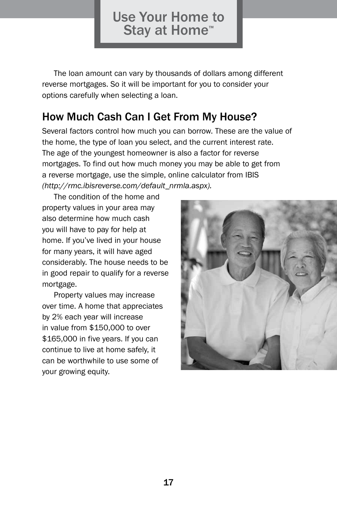The loan amount can vary by thousands of dollars among different reverse mortgages. So it will be important for you to consider your options carefully when selecting a loan.

#### How Much Cash Can I Get From My House?

Several factors control how much you can borrow. These are the value of the home, the type of loan you select, and the current interest rate. The age of the youngest homeowner is also a factor for reverse mortgages. To find out how much money you may be able to get from a reverse mortgage, use the simple, online calculator from IBIS *(http://rmc.ibisreverse.com/default\_nrmla.aspx).*

The condition of the home and property values in your area may also determine how much cash you will have to pay for help at home. If you've lived in your house for many years, it will have aged considerably. The house needs to be in good repair to qualify for a reverse mortgage.

Property values may increase over time. A home that appreciates by 2% each year will increase in value from \$150,000 to over \$165,000 in five years. If you can continue to live at home safely, it can be worthwhile to use some of your growing equity.

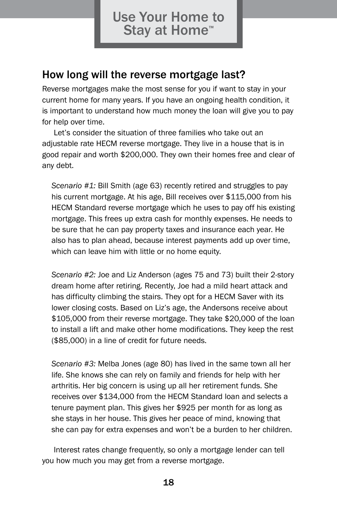#### How long will the reverse mortgage last?

Reverse mortgages make the most sense for you if want to stay in your current home for many years. If you have an ongoing health condition, it is important to understand how much money the loan will give you to pay for help over time.

Let's consider the situation of three families who take out an adjustable rate HECM reverse mortgage. They live in a house that is in good repair and worth \$200,000. They own their homes free and clear of any debt.

*Scenario #1:* Bill Smith (age 63) recently retired and struggles to pay his current mortgage. At his age, Bill receives over \$115,000 from his HECM Standard reverse mortgage which he uses to pay off his existing mortgage. This frees up extra cash for monthly expenses. He needs to be sure that he can pay property taxes and insurance each year. He also has to plan ahead, because interest payments add up over time, which can leave him with little or no home equity.

*Scenario #2:* Joe and Liz Anderson (ages 75 and 73) built their 2-story dream home after retiring. Recently, Joe had a mild heart attack and has difficulty climbing the stairs. They opt for a HECM Saver with its lower closing costs. Based on Liz's age, the Andersons receive about \$105,000 from their reverse mortgage. They take \$20,000 of the loan to install a lift and make other home modifications. They keep the rest (\$85,000) in a line of credit for future needs.

*Scenario #3:* Melba Jones (age 80) has lived in the same town all her life. She knows she can rely on family and friends for help with her arthritis. Her big concern is using up all her retirement funds. She receives over \$134,000 from the HECM Standard loan and selects a tenure payment plan. This gives her \$925 per month for as long as she stays in her house. This gives her peace of mind, knowing that she can pay for extra expenses and won't be a burden to her children.

Interest rates change frequently, so only a mortgage lender can tell you how much you may get from a reverse mortgage.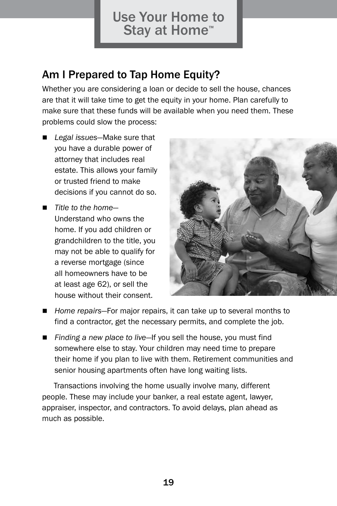#### Am I Prepared to Tap Home Equity?

Whether you are considering a loan or decide to sell the house, chances are that it will take time to get the equity in your home. Plan carefully to make sure that these funds will be available when you need them. These problems could slow the process:

- Legal issues-Make sure that you have a durable power of attorney that includes real estate. This allows your family or trusted friend to make decisions if you cannot do so.
- *Title to the home* Understand who owns the home. If you add children or grandchildren to the title, you may not be able to qualify for a reverse mortgage (since all homeowners have to be at least age 62), or sell the house without their consent.



- Home repairs–For major repairs, it can take up to several months to find a contractor, get the necessary permits, and complete the job.
- *Finding a new place to live*—If you sell the house, you must find somewhere else to stay. Your children may need time to prepare their home if you plan to live with them. Retirement communities and senior housing apartments often have long waiting lists.

Transactions involving the home usually involve many, different people. These may include your banker, a real estate agent, lawyer, appraiser, inspector, and contractors. To avoid delays, plan ahead as much as possible.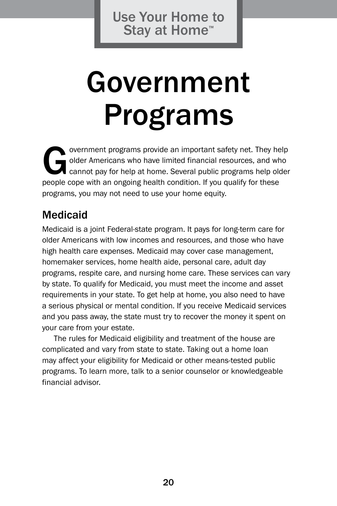# Government Programs

overnment programs provide an important safety net. They help<br>older Americans who have limited financial resources, and who<br>cannot pay for help at home. Several public programs help older<br>people cone with an ongoing health older Americans who have limited financial resources, and who cannot pay for help at home. Several public programs help older people cope with an ongoing health condition. If you qualify for these programs, you may not need to use your home equity.

#### Medicaid

Medicaid is a joint Federal-state program. It pays for long-term care for older Americans with low incomes and resources, and those who have high health care expenses. Medicaid may cover case management, homemaker services, home health aide, personal care, adult day programs, respite care, and nursing home care. These services can vary by state. To qualify for Medicaid, you must meet the income and asset requirements in your state. To get help at home, you also need to have a serious physical or mental condition. If you receive Medicaid services and you pass away, the state must try to recover the money it spent on your care from your estate.

The rules for Medicaid eligibility and treatment of the house are complicated and vary from state to state. Taking out a home loan may affect your eligibility for Medicaid or other means-tested public programs. To learn more, talk to a senior counselor or knowledgeable financial advisor.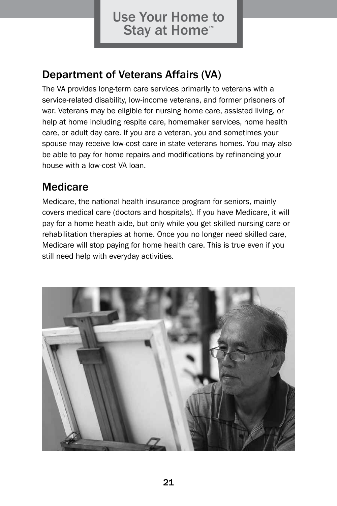## Department of Veterans Affairs (VA)

The VA provides long-term care services primarily to veterans with a service-related disability, low-income veterans, and former prisoners of war. Veterans may be eligible for nursing home care, assisted living, or help at home including respite care, homemaker services, home health care, or adult day care. If you are a veteran, you and sometimes your spouse may receive low-cost care in state veterans homes. You may also be able to pay for home repairs and modifications by refinancing your house with a low-cost VA loan.

#### Medicare

Medicare, the national health insurance program for seniors, mainly covers medical care (doctors and hospitals). If you have Medicare, it will pay for a home heath aide, but only while you get skilled nursing care or rehabilitation therapies at home. Once you no longer need skilled care, Medicare will stop paying for home health care. This is true even if you still need help with everyday activities.

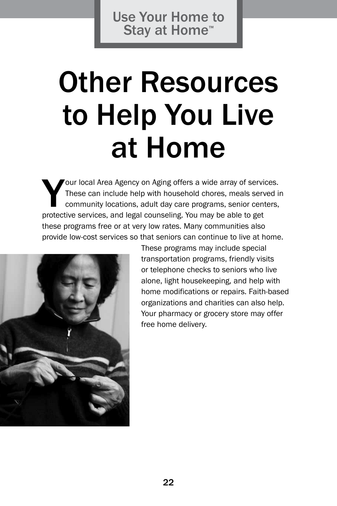## Other Resources to Help You Live at Home

Your local Area Agency on Aging offers a wide array of services.<br>These can include help with household chores, meals served in<br>community locations, adult day care programs, senior centers,<br>protective services, and legal co These can include help with household chores, meals served in community locations, adult day care programs, senior centers, protective services, and legal counseling. You may be able to get these programs free or at very low rates. Many communities also provide low-cost services so that seniors can continue to live at home.



These programs may include special transportation programs, friendly visits or telephone checks to seniors who live alone, light housekeeping, and help with home modifications or repairs. Faith-based organizations and charities can also help. Your pharmacy or grocery store may offer free home delivery.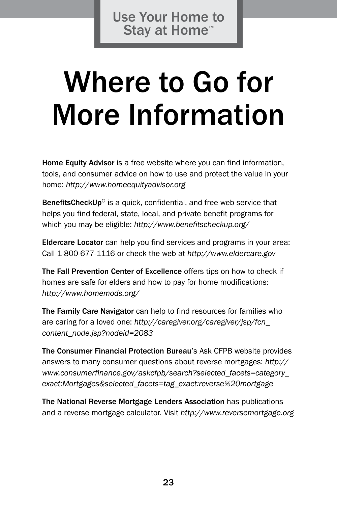## Where to Go for More Information

Home Equity Advisor is a free website where you can find information, tools, and consumer advice on how to use and protect the value in your home: *http://www.homeequityadvisor.org*

BenefitsCheckUp<sup>®</sup> is a quick, confidential, and free web service that helps you find federal, state, local, and private benefit programs for which you may be eligible: *http://www.benefitscheckup.org/*

Eldercare Locator can help you find services and programs in your area: Call 1-800-677-1116 or check the web at *http://www.eldercare.gov*

The Fall Prevention Center of Excellence offers tips on how to check if homes are safe for elders and how to pay for home modifications: *http://www.homemods.org/*

The Family Care Navigator can help to find resources for families who are caring for a loved one: *http://caregiver.org/caregiver/jsp/fcn\_ content\_node.jsp?nodeid=2083*

The Consumer Financial Protection Bureau's Ask CFPB website provides answers to many consumer questions about reverse mortgages: *http:// www.consumerfinance.gov/askcfpb/search?selected\_facets=category\_ exact:Mortgages&selected\_facets=tag\_exact:reverse%20mortgage*

The National Reverse Mortgage Lenders Association has publications and a reverse mortgage calculator. Visit *http://www.reversemortgage.org*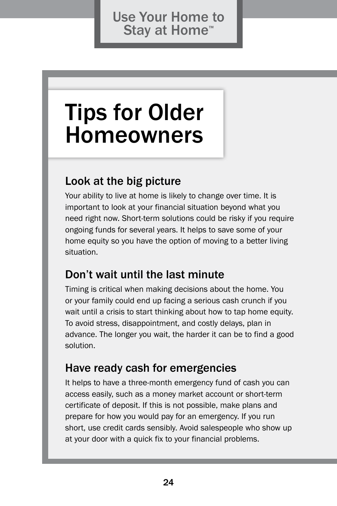## Tips for Older Homeowners

#### Look at the big picture

Your ability to live at home is likely to change over time. It is important to look at your financial situation beyond what you need right now. Short-term solutions could be risky if you require ongoing funds for several years. It helps to save some of your home equity so you have the option of moving to a better living situation.

#### Don't wait until the last minute

Timing is critical when making decisions about the home. You or your family could end up facing a serious cash crunch if you wait until a crisis to start thinking about how to tap home equity. To avoid stress, disappointment, and costly delays, plan in advance. The longer you wait, the harder it can be to find a good solution.

#### Have ready cash for emergencies

It helps to have a three-month emergency fund of cash you can access easily, such as a money market account or short-term certificate of deposit. If this is not possible, make plans and prepare for how you would pay for an emergency. If you run short, use credit cards sensibly. Avoid salespeople who show up at your door with a quick fix to your financial problems.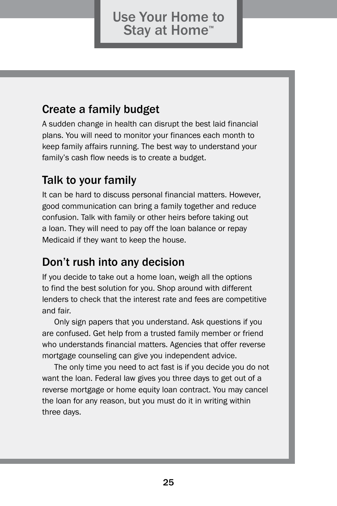### Create a family budget

A sudden change in health can disrupt the best laid financial plans. You will need to monitor your finances each month to keep family affairs running. The best way to understand your family's cash flow needs is to create a budget.

## Talk to your family

It can be hard to discuss personal financial matters. However, good communication can bring a family together and reduce confusion. Talk with family or other heirs before taking out a loan. They will need to pay off the loan balance or repay Medicaid if they want to keep the house.

## Don't rush into any decision

If you decide to take out a home loan, weigh all the options to find the best solution for you. Shop around with different lenders to check that the interest rate and fees are competitive and fair.

Only sign papers that you understand. Ask questions if you are confused. Get help from a trusted family member or friend who understands financial matters. Agencies that offer reverse mortgage counseling can give you independent advice.

The only time you need to act fast is if you decide you do not want the loan. Federal law gives you three days to get out of a reverse mortgage or home equity loan contract. You may cancel the loan for any reason, but you must do it in writing within three days.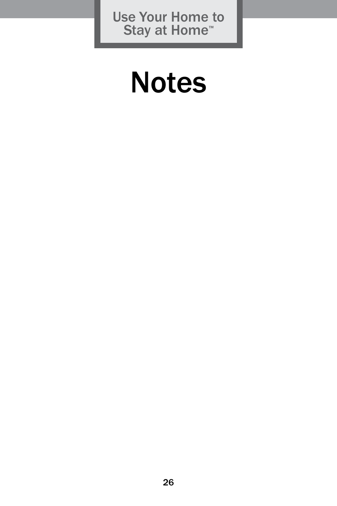## **Notes**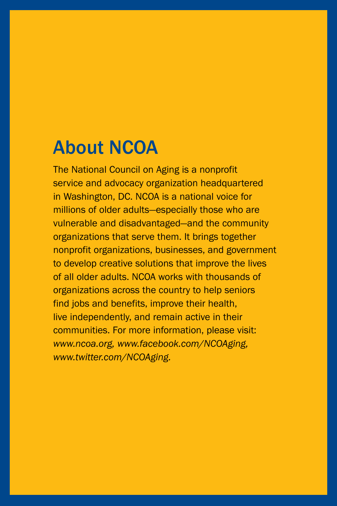## About NCOA

The National Council on Aging is a nonprofit service and advocacy organization headquartered in Washington, DC. NCOA is a national voice for millions of older adults—especially those who are vulnerable and disadvantaged—and the community organizations that serve them. It brings together nonprofit organizations, businesses, and government to develop creative solutions that improve the lives of all older adults. NCOA works with thousands of organizations across the country to help seniors find jobs and benefits, improve their health, live independently, and remain active in their communities. For more information, please visit: *www.ncoa.org, www.facebook.com/NCOAging, www.twitter.com/NCOAging.*